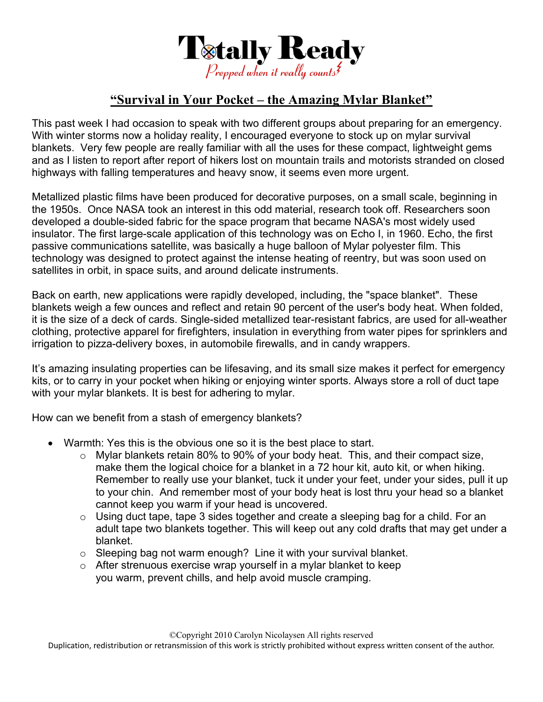

## **"Survival in Your Pocket – the Amazing Mylar Blanket"**

This past week I had occasion to speak with two different groups about preparing for an emergency. With winter storms now a holiday reality, I encouraged everyone to stock up on mylar survival blankets. Very few people are really familiar with all the uses for these compact, lightweight gems and as I listen to report after report of hikers lost on mountain trails and motorists stranded on closed highways with falling temperatures and heavy snow, it seems even more urgent.

Metallized plastic films have been produced for decorative purposes, on a small scale, beginning in the 1950s. Once NASA took an interest in this odd material, research took off. Researchers soon developed a double-sided fabric for the space program that became NASA's most widely used insulator. The first large-scale application of this technology was on Echo I, in 1960. Echo, the first passive communications satellite, was basically a huge balloon of Mylar polyester film. This technology was designed to protect against the intense heating of reentry, but was soon used on satellites in orbit, in space suits, and around delicate instruments.

Back on earth, new applications were rapidly developed, including, the "space blanket". These blankets weigh a few ounces and reflect and retain 90 percent of the user's body heat. When folded, it is the size of a deck of cards. Single-sided metallized tear-resistant fabrics, are used for all-weather clothing, protective apparel for firefighters, insulation in everything from water pipes for sprinklers and irrigation to pizza-delivery boxes, in automobile firewalls, and in candy wrappers.

It's amazing insulating properties can be lifesaving, and its small size makes it perfect for emergency kits, or to carry in your pocket when hiking or enjoying winter sports. Always store a roll of duct tape with your mylar blankets. It is best for adhering to mylar.

How can we benefit from a stash of emergency blankets?

- Warmth: Yes this is the obvious one so it is the best place to start.
	- o Mylar blankets retain 80% to 90% of your body heat. This, and their compact size, make them the logical choice for a blanket in a 72 hour kit, auto kit, or when hiking. Remember to really use your blanket, tuck it under your feet, under your sides, pull it up to your chin. And remember most of your body heat is lost thru your head so a blanket cannot keep you warm if your head is uncovered.
	- $\circ$  Using duct tape, tape 3 sides together and create a sleeping bag for a child. For an adult tape two blankets together. This will keep out any cold drafts that may get under a blanket.
	- o Sleeping bag not warm enough? Line it with your survival blanket.
	- $\circ$  After strenuous exercise wrap yourself in a mylar blanket to keep you warm, prevent chills, and help avoid muscle cramping.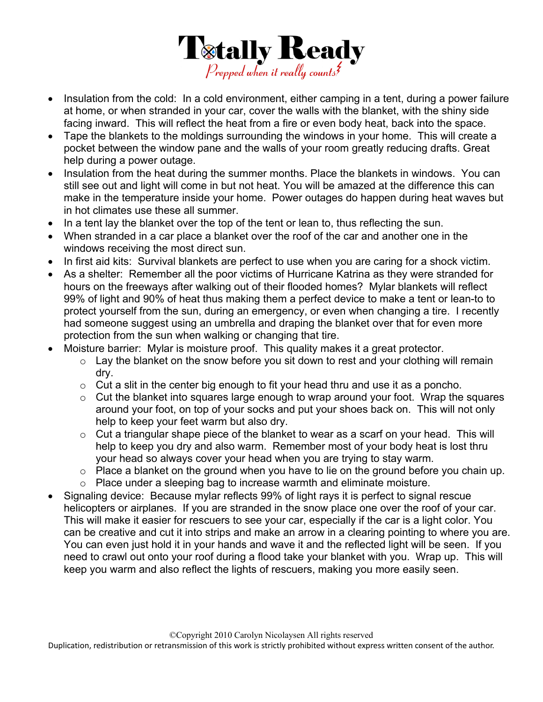

- Insulation from the cold: In a cold environment, either camping in a tent, during a power failure at home, or when stranded in your car, cover the walls with the blanket, with the shiny side facing inward. This will reflect the heat from a fire or even body heat, back into the space.
- Tape the blankets to the moldings surrounding the windows in your home. This will create a pocket between the window pane and the walls of your room greatly reducing drafts. Great help during a power outage.
- Insulation from the heat during the summer months. Place the blankets in windows. You can still see out and light will come in but not heat. You will be amazed at the difference this can make in the temperature inside your home. Power outages do happen during heat waves but in hot climates use these all summer.
- In a tent lay the blanket over the top of the tent or lean to, thus reflecting the sun.
- When stranded in a car place a blanket over the roof of the car and another one in the windows receiving the most direct sun.
- In first aid kits: Survival blankets are perfect to use when you are caring for a shock victim.
- As a shelter: Remember all the poor victims of Hurricane Katrina as they were stranded for hours on the freeways after walking out of their flooded homes? Mylar blankets will reflect 99% of light and 90% of heat thus making them a perfect device to make a tent or lean-to to protect yourself from the sun, during an emergency, or even when changing a tire. I recently had someone suggest using an umbrella and draping the blanket over that for even more protection from the sun when walking or changing that tire.
- Moisture barrier: Mylar is moisture proof. This quality makes it a great protector.
	- $\circ$  Lay the blanket on the snow before you sit down to rest and your clothing will remain dry.
	- $\circ$  Cut a slit in the center big enough to fit your head thru and use it as a poncho.
	- $\circ$  Cut the blanket into squares large enough to wrap around your foot. Wrap the squares around your foot, on top of your socks and put your shoes back on. This will not only help to keep your feet warm but also dry.
	- $\circ$  Cut a triangular shape piece of the blanket to wear as a scarf on your head. This will help to keep you dry and also warm. Remember most of your body heat is lost thru your head so always cover your head when you are trying to stay warm.
	- $\circ$  Place a blanket on the ground when you have to lie on the ground before you chain up.
	- o Place under a sleeping bag to increase warmth and eliminate moisture.
- Signaling device: Because mylar reflects 99% of light rays it is perfect to signal rescue helicopters or airplanes. If you are stranded in the snow place one over the roof of your car. This will make it easier for rescuers to see your car, especially if the car is a light color. You can be creative and cut it into strips and make an arrow in a clearing pointing to where you are. You can even just hold it in your hands and wave it and the reflected light will be seen. If you need to crawl out onto your roof during a flood take your blanket with you. Wrap up. This will keep you warm and also reflect the lights of rescuers, making you more easily seen.